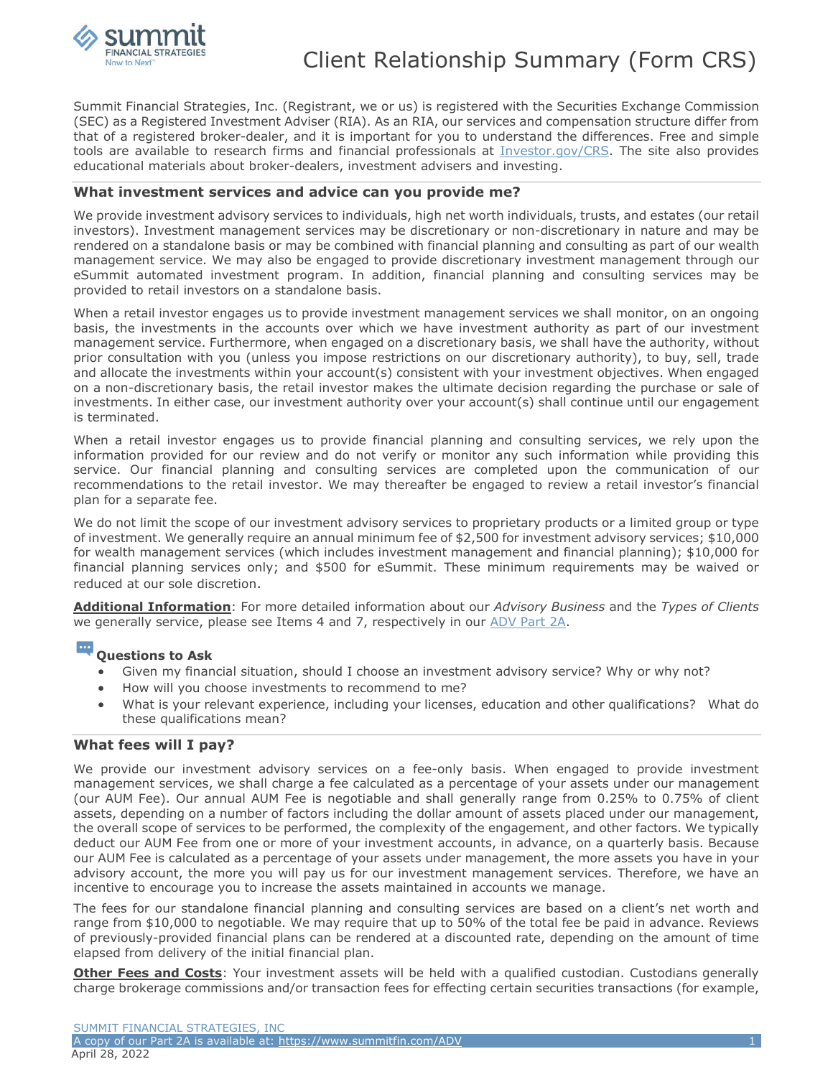

Summit Financial Strategies, Inc. (Registrant, we or us) is registered with the Securities Exchange Commission (SEC) as a Registered Investment Adviser (RIA). As an RIA, our services and compensation structure differ from that of a registered broker-dealer, and it is important for you to understand the differences. Free and simple tools are available to research firms and financial professionals at *Investor.gov/CRS*. The site also provides educational materials about broker-dealers, investment advisers and investing.

### **What investment services and advice can you provide me?**

We provide investment advisory services to individuals, high net worth individuals, trusts, and estates (our retail investors). Investment management services may be discretionary or non-discretionary in nature and may be rendered on a standalone basis or may be combined with financial planning and consulting as part of our wealth management service. We may also be engaged to provide discretionary investment management through our eSummit automated investment program. In addition, financial planning and consulting services may be provided to retail investors on a standalone basis.

When a retail investor engages us to provide investment management services we shall monitor, on an ongoing basis, the investments in the accounts over which we have investment authority as part of our investment management service. Furthermore, when engaged on a discretionary basis, we shall have the authority, without prior consultation with you (unless you impose restrictions on our discretionary authority), to buy, sell, trade and allocate the investments within your account(s) consistent with your investment objectives. When engaged on a non-discretionary basis, the retail investor makes the ultimate decision regarding the purchase or sale of investments. In either case, our investment authority over your account(s) shall continue until our engagement is terminated.

When a retail investor engages us to provide financial planning and consulting services, we rely upon the information provided for our review and do not verify or monitor any such information while providing this service. Our financial planning and consulting services are completed upon the communication of our recommendations to the retail investor. We may thereafter be engaged to review a retail investor's financial plan for a separate fee.

We do not limit the scope of our investment advisory services to proprietary products or a limited group or type of investment. We generally require an annual minimum fee of \$2,500 for investment advisory services; \$10,000 for wealth management services (which includes investment management and financial planning); \$10,000 for financial planning services only; and \$500 for eSummit. These minimum requirements may be waived or reduced at our sole discretion.

**Additional Information**: For more detailed information about our *Advisory Business* and the *Types of Clients* we generally service, please see Items 4 and 7, respectively in our ADV Part 2A.

#### $\cdots$ **Questions to Ask**

- Given my financial situation, should I choose an investment advisory service? Why or why not?
- How will you choose investments to recommend to me?
- What is your relevant experience, including your licenses, education and other qualifications? What do these qualifications mean?

## **What fees will I pay?**

We provide our investment advisory services on a fee-only basis. When engaged to provide investment management services, we shall charge a fee calculated as a percentage of your assets under our management (our AUM Fee). Our annual AUM Fee is negotiable and shall generally range from 0.25% to 0.75% of client assets, depending on a number of factors including the dollar amount of assets placed under our management, the overall scope of services to be performed, the complexity of the engagement, and other factors. We typically deduct our AUM Fee from one or more of your investment accounts, in advance, on a quarterly basis. Because our AUM Fee is calculated as a percentage of your assets under management, the more assets you have in your advisory account, the more you will pay us for our investment management services. Therefore, we have an incentive to encourage you to increase the assets maintained in accounts we manage.

The fees for our standalone financial planning and consulting services are based on a client's net worth and range from \$10,000 to negotiable. We may require that up to 50% of the total fee be paid in advance. Reviews of previously-provided financial plans can be rendered at a discounted rate, depending on the amount of time elapsed from delivery of the initial financial plan.

**Other Fees and Costs**: Your investment assets will be held with a qualified custodian. Custodians generally charge brokerage commissions and/or transaction fees for effecting certain securities transactions (for example,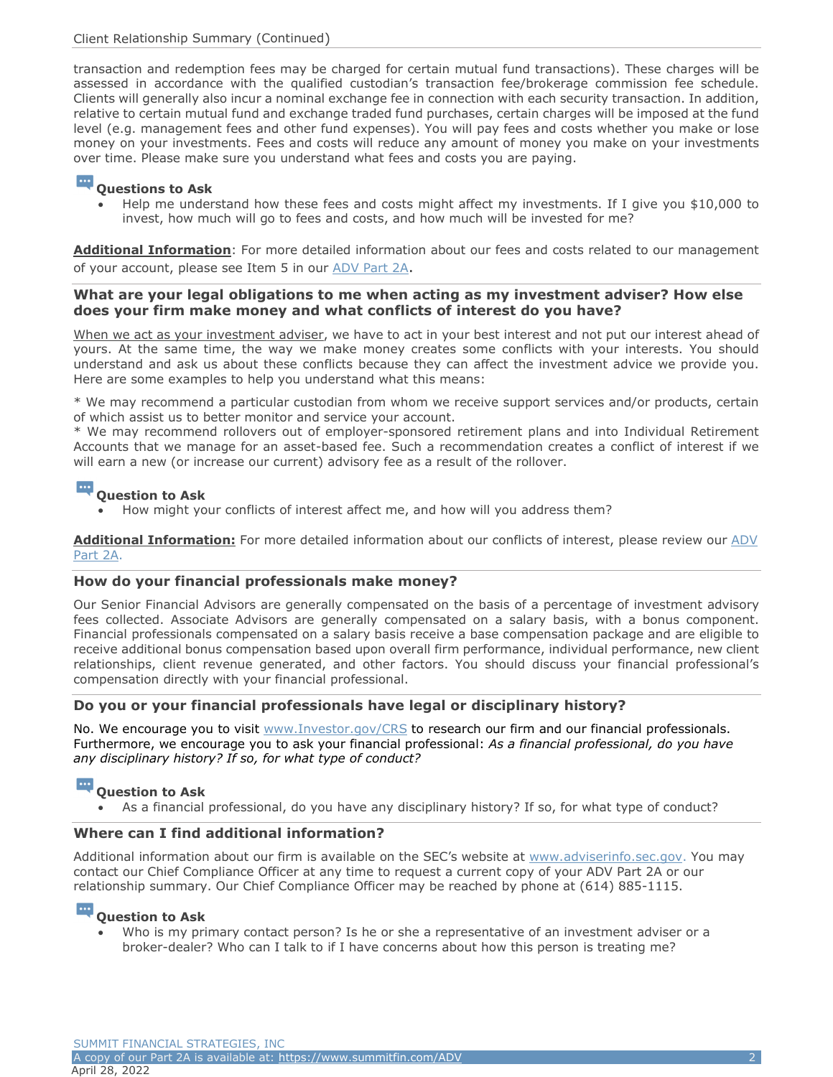# Client Relationship Summary (Continued)

transaction and redemption fees may be charged for certain mutual fund transactions). These charges will be assessed in accordance with the qualified custodian's transaction fee/brokerage commission fee schedule. Clients will generally also incur a nominal exchange fee in connection with each security transaction. In addition, relative to certain mutual fund and exchange traded fund purchases, certain charges will be imposed at the fund level (e.g. management fees and other fund expenses). You will pay fees and costs whether you make or lose money on your investments. Fees and costs will reduce any amount of money you make on your investments over time. Please make sure you understand what fees and costs you are paying.

#### $\cdots$ **Questions to Ask**

 Help me understand how these fees and costs might affect my investments. If I give you \$10,000 to invest, how much will go to fees and costs, and how much will be invested for me?

**Additional Information**: For more detailed information about our fees and costs related to our management of your account, please see Item 5 in our ADV Part 2A.

## **What are your legal obligations to me when acting as my investment adviser? How else does your firm make money and what conflicts of interest do you have?**

When we act as your investment adviser, we have to act in your best interest and not put our interest ahead of yours. At the same time, the way we make money creates some conflicts with your interests. You should understand and ask us about these conflicts because they can affect the investment advice we provide you. Here are some examples to help you understand what this means:

\* We may recommend a particular custodian from whom we receive support services and/or products, certain of which assist us to better monitor and service your account.

\* We may recommend rollovers out of employer-sponsored retirement plans and into Individual Retirement Accounts that we manage for an asset-based fee. Such a recommendation creates a conflict of interest if we will earn a new (or increase our current) advisory fee as a result of the rollover.

#### $\cdots$ **Question to Ask**

How might your conflicts of interest affect me, and how will you address them?

**Additional Information:** For more detailed information about our conflicts of interest, please review our ADV Part 2A.

## **How do your financial professionals make money?**

Our Senior Financial Advisors are generally compensated on the basis of a percentage of investment advisory fees collected. Associate Advisors are generally compensated on a salary basis, with a bonus component. Financial professionals compensated on a salary basis receive a base compensation package and are eligible to receive additional bonus compensation based upon overall firm performance, individual performance, new client relationships, client revenue generated, and other factors. You should discuss your financial professional's compensation directly with your financial professional.

## **Do you or your financial professionals have legal or disciplinary history?**

No. We encourage you to visit www.Investor.gov/CRS to research our firm and our financial professionals. Furthermore, we encourage you to ask your financial professional: *As a financial professional, do you have any disciplinary history? If so, for what type of conduct?* 

#### $\cdots$ **Question to Ask**

As a financial professional, do you have any disciplinary history? If so, for what type of conduct?

## **Where can I find additional information?**

Additional information about our firm is available on the SEC's website at www.adviserinfo.sec.gov. You may contact our Chief Compliance Officer at any time to request a current copy of your ADV Part 2A or our relationship summary. Our Chief Compliance Officer may be reached by phone at (614) 885-1115.

# **Question to Ask**

 Who is my primary contact person? Is he or she a representative of an investment adviser or a broker-dealer? Who can I talk to if I have concerns about how this person is treating me?